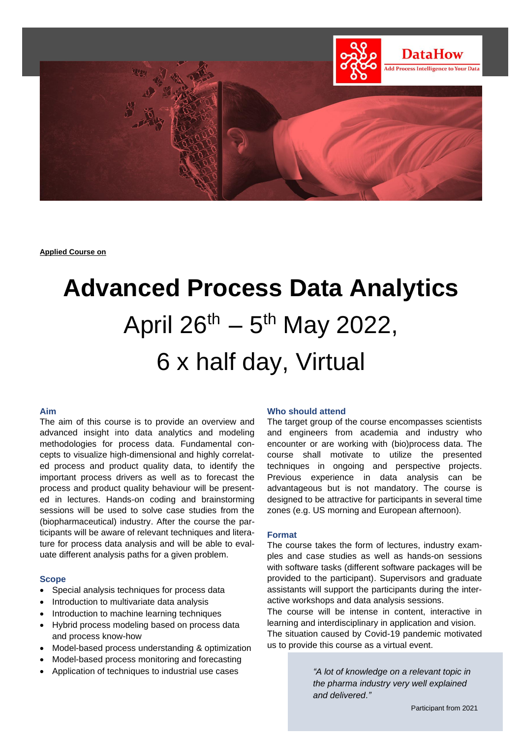

**Applied Course on**

# **Advanced Process Data Analytics** April 26<sup>th</sup> – 5<sup>th</sup> May 2022, 6 x half day, Virtual

# **Aim**

The aim of this course is to provide an overview and advanced insight into data analytics and modeling methodologies for process data. Fundamental concepts to visualize high-dimensional and highly correlated process and product quality data, to identify the important process drivers as well as to forecast the process and product quality behaviour will be presented in lectures. Hands-on coding and brainstorming sessions will be used to solve case studies from the (biopharmaceutical) industry. After the course the participants will be aware of relevant techniques and literature for process data analysis and will be able to evaluate different analysis paths for a given problem.

# **Scope**

- Special analysis techniques for process data
- Introduction to multivariate data analysis
- Introduction to machine learning techniques
- Hybrid process modeling based on process data and process know-how
- Model-based process understanding & optimization
- Model-based process monitoring and forecasting
- Application of techniques to industrial use cases

# **Who should attend**

The target group of the course encompasses scientists and engineers from academia and industry who encounter or are working with (bio)process data. The course shall motivate to utilize the presented techniques in ongoing and perspective projects. Previous experience in data analysis can be advantageous but is not mandatory. The course is designed to be attractive for participants in several time zones (e.g. US morning and European afternoon).

# **Format**

The course takes the form of lectures, industry examples and case studies as well as hands-on sessions with software tasks (different software packages will be provided to the participant). Supervisors and graduate assistants will support the participants during the interactive workshops and data analysis sessions.

The course will be intense in content, interactive in learning and interdisciplinary in application and vision. The situation caused by Covid-19 pandemic motivated us to provide this course as a virtual event.

> *"A lot of knowledge on a relevant topic in the pharma industry very well explained and delivered."*